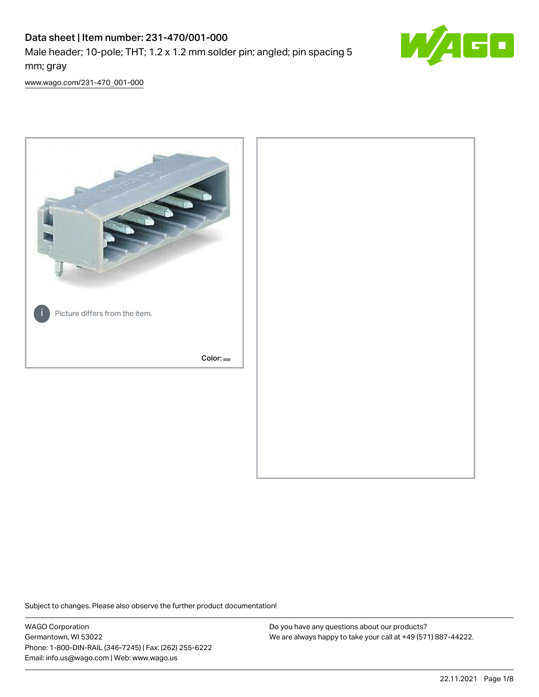# Data sheet | Item number: 231-470/001-000

Male header; 10-pole; THT; 1.2 x 1.2 mm solder pin; angled; pin spacing 5 mm; gray



[www.wago.com/231-470\\_001-000](http://www.wago.com/231-470_001-000)



Subject to changes. Please also observe the further product documentation!

WAGO Corporation Germantown, WI 53022 Phone: 1-800-DIN-RAIL (346-7245) | Fax: (262) 255-6222 Email: info.us@wago.com | Web: www.wago.us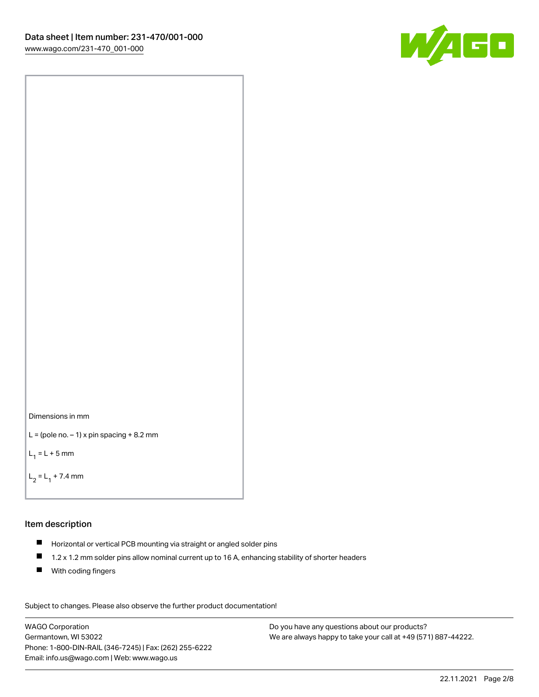



```
L = (pole no. -1) x pin spacing +8.2 mm
```
 $L_1 = L + 5$  mm

```
L_2 = L_1 + 7.4 mm
```
#### Item description

- Horizontal or vertical PCB mounting via straight or angled solder pins
- $\blacksquare$ 1.2 x 1.2 mm solder pins allow nominal current up to 16 A, enhancing stability of shorter headers
- **With coding fingers**

Subject to changes. Please also observe the further product documentation! Data

WAGO Corporation Germantown, WI 53022 Phone: 1-800-DIN-RAIL (346-7245) | Fax: (262) 255-6222 Email: info.us@wago.com | Web: www.wago.us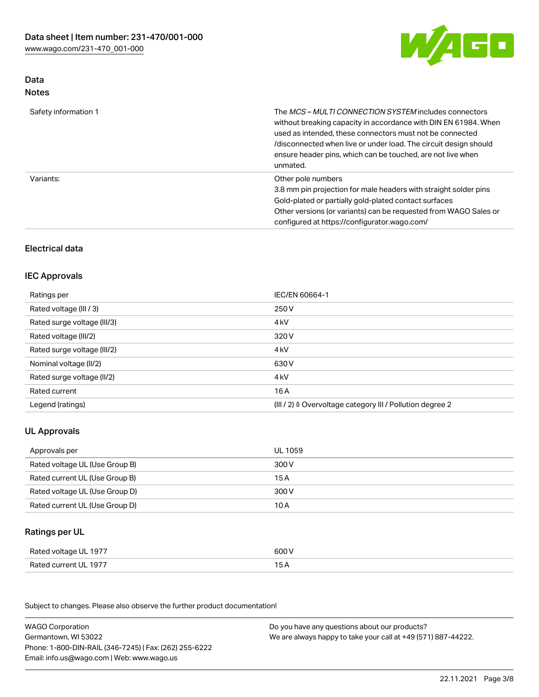

## Data Notes

| Safety information 1 | The <i>MCS – MULTI CONNECTION SYSTEM</i> includes connectors<br>without breaking capacity in accordance with DIN EN 61984. When<br>used as intended, these connectors must not be connected<br>/disconnected when live or under load. The circuit design should<br>ensure header pins, which can be touched, are not live when<br>unmated. |
|----------------------|--------------------------------------------------------------------------------------------------------------------------------------------------------------------------------------------------------------------------------------------------------------------------------------------------------------------------------------------|
| Variants:            | Other pole numbers<br>3.8 mm pin projection for male headers with straight solder pins<br>Gold-plated or partially gold-plated contact surfaces<br>Other versions (or variants) can be requested from WAGO Sales or<br>configured at https://configurator.wago.com/                                                                        |

# Electrical data

# IEC Approvals

| Ratings per                 | IEC/EN 60664-1                                                        |
|-----------------------------|-----------------------------------------------------------------------|
| Rated voltage (III / 3)     | 250 V                                                                 |
| Rated surge voltage (III/3) | 4 <sub>k</sub> V                                                      |
| Rated voltage (III/2)       | 320 V                                                                 |
| Rated surge voltage (III/2) | 4 <sub>kV</sub>                                                       |
| Nominal voltage (II/2)      | 630 V                                                                 |
| Rated surge voltage (II/2)  | 4 <sub>k</sub> V                                                      |
| Rated current               | 16A                                                                   |
| Legend (ratings)            | $(III / 2)$ $\triangle$ Overvoltage category III / Pollution degree 2 |

# UL Approvals

| Approvals per                  | UL 1059 |
|--------------------------------|---------|
| Rated voltage UL (Use Group B) | 300 V   |
| Rated current UL (Use Group B) | 15 A    |
| Rated voltage UL (Use Group D) | 300 V   |
| Rated current UL (Use Group D) | 10 A    |

### Ratings per UL

| Rated voltage UL 1977 | 600 V |
|-----------------------|-------|
| Rated current UL 1977 |       |

Subject to changes. Please also observe the further product documentation!

| <b>WAGO Corporation</b>                                | Do you have any questions about our products?                 |
|--------------------------------------------------------|---------------------------------------------------------------|
| Germantown, WI 53022                                   | We are always happy to take your call at +49 (571) 887-44222. |
| Phone: 1-800-DIN-RAIL (346-7245)   Fax: (262) 255-6222 |                                                               |
| Email: info.us@wago.com   Web: www.wago.us             |                                                               |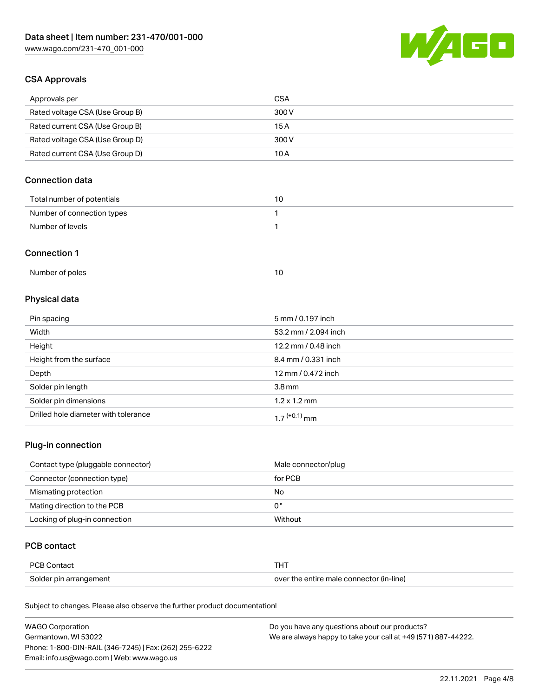

## CSA Approvals

| Approvals per                   | CSA   |
|---------------------------------|-------|
| Rated voltage CSA (Use Group B) | 300 V |
| Rated current CSA (Use Group B) | 15 A  |
| Rated voltage CSA (Use Group D) | 300 V |
| Rated current CSA (Use Group D) | 10 A  |

# Connection data

| Total number of potentials |  |
|----------------------------|--|
| Number of connection types |  |
| Number of levels           |  |

#### Connection 1

| Number of poles |  |
|-----------------|--|
|                 |  |

# Physical data

| Pin spacing                          | 5 mm / 0.197 inch    |
|--------------------------------------|----------------------|
| Width                                | 53.2 mm / 2.094 inch |
| Height                               | 12.2 mm / 0.48 inch  |
| Height from the surface              | 8.4 mm / 0.331 inch  |
| Depth                                | 12 mm / 0.472 inch   |
| Solder pin length                    | 3.8 <sub>mm</sub>    |
| Solder pin dimensions                | $1.2 \times 1.2$ mm  |
| Drilled hole diameter with tolerance | $17^{(+0.1)}$ mm     |

# Plug-in connection

| Contact type (pluggable connector) | Male connector/plug |
|------------------------------------|---------------------|
| Connector (connection type)        | for PCB             |
| Mismating protection               | No                  |
| Mating direction to the PCB        | 0°                  |
| Locking of plug-in connection      | Without             |

### PCB contact

| PCB Contact            |                                          |
|------------------------|------------------------------------------|
| Solder pin arrangement | over the entire male connector (in-line) |

Subject to changes. Please also observe the further product documentation!

| <b>WAGO Corporation</b>                                | Do you have any questions about our products?                 |
|--------------------------------------------------------|---------------------------------------------------------------|
| Germantown, WI 53022                                   | We are always happy to take your call at +49 (571) 887-44222. |
| Phone: 1-800-DIN-RAIL (346-7245)   Fax: (262) 255-6222 |                                                               |
| Email: info.us@wago.com   Web: www.wago.us             |                                                               |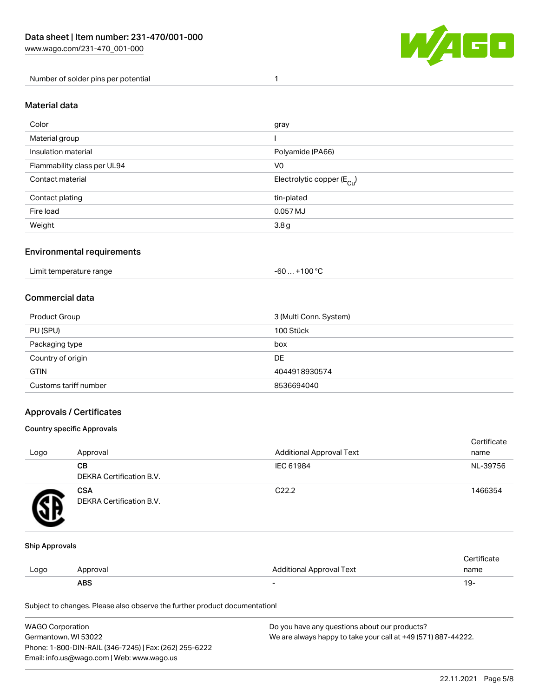

Number of solder pins per potential 1

#### Material data

| Color                       | gray                                    |
|-----------------------------|-----------------------------------------|
| Material group              |                                         |
| Insulation material         | Polyamide (PA66)                        |
| Flammability class per UL94 | V <sub>0</sub>                          |
| Contact material            | Electrolytic copper ( $E_{\text{Cu}}$ ) |
| Contact plating             | tin-plated                              |
| Fire load                   | 0.057 MJ                                |
| Weight                      | 3.8g                                    |

### Environmental requirements

Limit temperature range  $-60... +100$  °C

#### Commercial data

| Product Group         | 3 (Multi Conn. System) |  |
|-----------------------|------------------------|--|
| PU (SPU)              | 100 Stück              |  |
| Packaging type        | box                    |  |
| Country of origin     | DE                     |  |
| <b>GTIN</b>           | 4044918930574          |  |
| Customs tariff number | 8536694040             |  |

### Approvals / Certificates

#### Country specific Approvals

| Logo | Approval                               | <b>Additional Approval Text</b> | Certificate<br>name |
|------|----------------------------------------|---------------------------------|---------------------|
|      | <b>CB</b><br>DEKRA Certification B.V.  | IEC 61984                       | NL-39756            |
|      | <b>CSA</b><br>DEKRA Certification B.V. | C <sub>22.2</sub>               | 1466354             |

#### Ship Approvals

|      | ABS      | -                        | -91                    |
|------|----------|--------------------------|------------------------|
| Logo | Approval | Additional Approval Text | name                   |
|      |          |                          | $\cdot$<br>ੋ°rtificate |

Subject to changes. Please also observe the further product documentation!

| WAGO Corporation                                       | Do you have any questions about our products?                 |
|--------------------------------------------------------|---------------------------------------------------------------|
| Germantown, WI 53022                                   | We are always happy to take your call at +49 (571) 887-44222. |
| Phone: 1-800-DIN-RAIL (346-7245)   Fax: (262) 255-6222 |                                                               |
| Email: info.us@wago.com   Web: www.wago.us             |                                                               |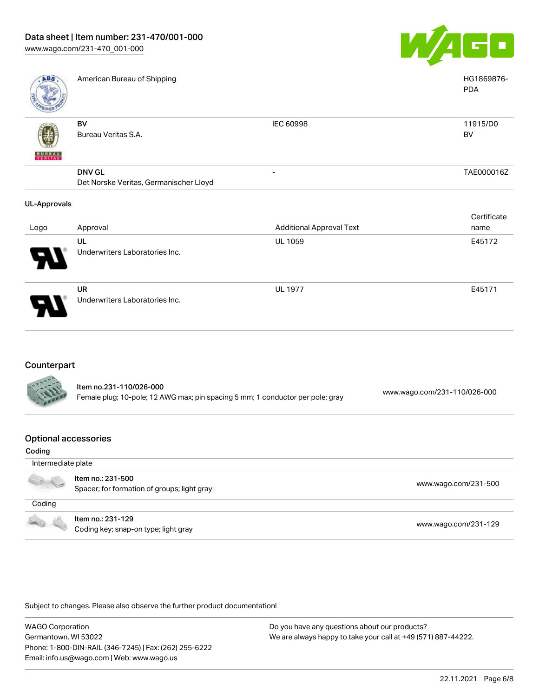

| <b>ABS</b>          | American Bureau of Shipping            |                                 | HG1869876-<br><b>PDA</b> |
|---------------------|----------------------------------------|---------------------------------|--------------------------|
| <b>BUNEAU</b>       | BV<br>Bureau Veritas S.A.              | IEC 60998                       | 11915/D0<br>BV           |
|                     | <b>DNV GL</b>                          | $\overline{\phantom{0}}$        | TAE000016Z               |
|                     | Det Norske Veritas, Germanischer Lloyd |                                 |                          |
| <b>UL-Approvals</b> |                                        |                                 |                          |
|                     |                                        |                                 | Certificate              |
| Logo                | Approval                               | <b>Additional Approval Text</b> | name                     |
|                     | UL                                     | <b>UL 1059</b>                  | E45172                   |
|                     | Underwriters Laboratories Inc.         |                                 |                          |
|                     | UR                                     | <b>UL 1977</b>                  | E45171                   |
|                     | Underwriters Laboratories Inc.         |                                 |                          |

# **Counterpart**

79

| <b>CALLES</b> | Item no.231-110/026-000<br>Female plug; 10-pole; 12 AWG max; pin spacing 5 mm; 1 conductor per pole; gray | www.wago.com/231-110/026-000 |
|---------------|-----------------------------------------------------------------------------------------------------------|------------------------------|
|               |                                                                                                           |                              |

#### Optional accessories

| Coding             |                                                                  |                      |
|--------------------|------------------------------------------------------------------|----------------------|
| Intermediate plate |                                                                  |                      |
|                    | Item no.: 231-500<br>Spacer; for formation of groups; light gray | www.wago.com/231-500 |
| Coding             |                                                                  |                      |
| - 4                | Item no.: 231-129<br>Coding key; snap-on type; light gray        | www.wago.com/231-129 |

Subject to changes. Please also observe the further product documentation!

WAGO Corporation Germantown, WI 53022 Phone: 1-800-DIN-RAIL (346-7245) | Fax: (262) 255-6222 Email: info.us@wago.com | Web: www.wago.us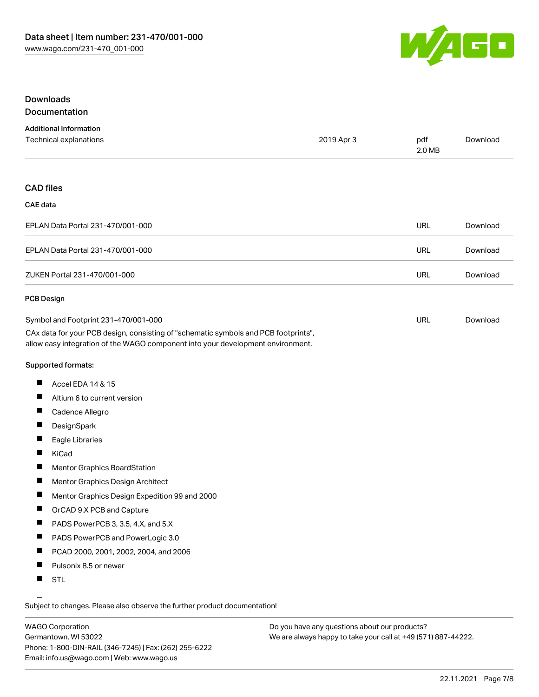

### Downloads Documentation

| <b>Additional Information</b> |            |        |          |
|-------------------------------|------------|--------|----------|
| Technical explanations        | 2019 Apr 3 | pdf    | Download |
|                               |            | 2.0 MB |          |

#### CAD files

#### CAE data

| EPLAN Data Portal 231-470/001-000 | URL | Download |
|-----------------------------------|-----|----------|
| EPLAN Data Portal 231-470/001-000 | URL | Download |
| ZUKEN Portal 231-470/001-000      | URL | Download |

#### PCB Design

| Symbol and Footprint 231-470/001-000                                                | URL | Download |
|-------------------------------------------------------------------------------------|-----|----------|
| CAx data for your PCB design, consisting of "schematic symbols and PCB footprints", |     |          |
| allow easy integration of the WAGO component into your development environment.     |     |          |

Supported formats:

- $\blacksquare$ Accel EDA 14 & 15
- $\blacksquare$ Altium 6 to current version
- $\blacksquare$ Cadence Allegro
- $\blacksquare$ **DesignSpark**
- П Eagle Libraries
- $\blacksquare$ KiCad
- $\blacksquare$ Mentor Graphics BoardStation
- $\blacksquare$ Mentor Graphics Design Architect
- $\blacksquare$ Mentor Graphics Design Expedition 99 and 2000
- $\blacksquare$ OrCAD 9.X PCB and Capture
- $\blacksquare$ PADS PowerPCB 3, 3.5, 4.X, and 5.X
- $\blacksquare$ PADS PowerPCB and PowerLogic 3.0
- $\blacksquare$ PCAD 2000, 2001, 2002, 2004, and 2006
- $\blacksquare$ Pulsonix 8.5 or newer
- $\blacksquare$ STL

Subject to changes. Please also observe the further product documentation!

WAGO Corporation Germantown, WI 53022 Phone: 1-800-DIN-RAIL (346-7245) | Fax: (262) 255-6222 Email: info.us@wago.com | Web: www.wago.us